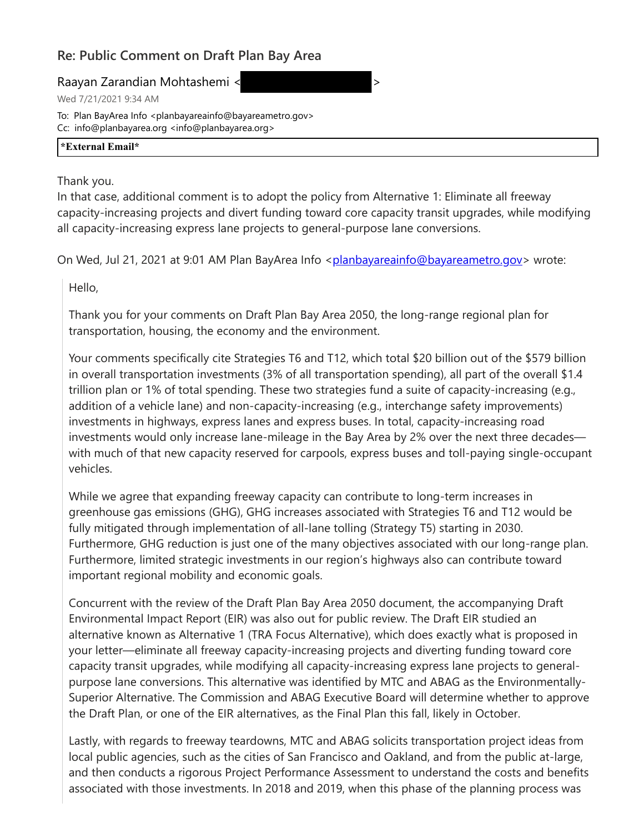## **Re: Public Comment on Draft Plan Bay Area**

Raayan Zarandian Mohtashemi < >

Wed 7/21/2021 9:34 AM

To: Plan BayArea Info <planbayareainfo@bayareametro.gov> Cc: info@planbayarea.org <info@planbayarea.org>

## **\*External Email\***

Thank you.

In that case, additional comment is to adopt the policy from Alternative 1: Eliminate all freeway capacity-increasing projects and divert funding toward core capacity transit upgrades, while modifying all capacity-increasing express lane projects to general-purpose lane conversions.

On Wed, Jul 21, 2021 at 9:01 AM Plan BayArea Info <planbayareainfo@bayareametro.gov> wrote:

Hello,

Thank you for your comments on Draft Plan Bay Area 2050, the long-range regional plan for transportation, housing, the economy and the environment.

Your comments specifically cite Strategies T6 and T12, which total \$20 billion out of the \$579 billion in overall transportation investments (3% of all transportation spending), all part of the overall \$1.4 trillion plan or 1% of total spending. These two strategies fund a suite of capacity-increasing (e.g., addition of a vehicle lane) and non-capacity-increasing (e.g., interchange safety improvements) investments in highways, express lanes and express buses. In total, capacity-increasing road investments would only increase lane-mileage in the Bay Area by 2% over the next three decades with much of that new capacity reserved for carpools, express buses and toll-paying single-occupant vehicles.

While we agree that expanding freeway capacity can contribute to long-term increases in greenhouse gas emissions (GHG), GHG increases associated with Strategies T6 and T12 would be fully mitigated through implementation of all-lane tolling (Strategy T5) starting in 2030. Furthermore, GHG reduction is just one of the many objectives associated with our long-range plan. Furthermore, limited strategic investments in our region's highways also can contribute toward important regional mobility and economic goals.

Concurrent with the review of the Draft Plan Bay Area 2050 document, the accompanying Draft Environmental Impact Report (EIR) was also out for public review. The Draft EIR studied an alternative known as Alternative 1 (TRA Focus Alternative), which does exactly what is proposed in your letter—eliminate all freeway capacity-increasing projects and diverting funding toward core capacity transit upgrades, while modifying all capacity-increasing express lane projects to generalpurpose lane conversions. This alternative was identified by MTC and ABAG as the Environmentally-Superior Alternative. The Commission and ABAG Executive Board will determine whether to approve the Draft Plan, or one of the EIR alternatives, as the Final Plan this fall, likely in October.

Lastly, with regards to freeway teardowns, MTC and ABAG solicits transportation project ideas from local public agencies, such as the cities of San Francisco and Oakland, and from the public at-large, and then conducts a rigorous Project Performance Assessment to understand the costs and benefits associated with those investments. In 2018 and 2019, when this phase of the planning process was